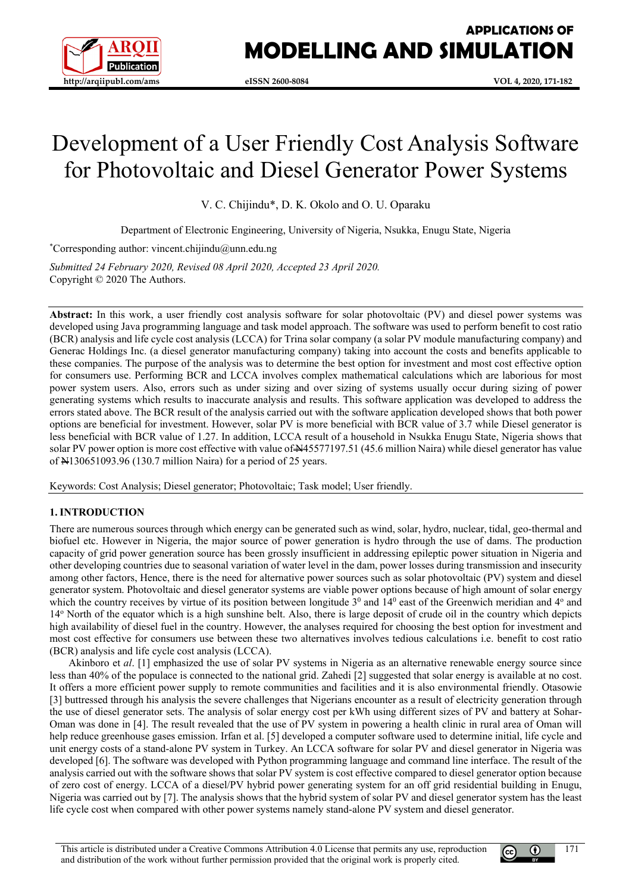

# **APPLICATIONS OF MODELLING AND SIMULATION**

# Development of a User Friendly Cost Analysis Software for Photovoltaic and Diesel Generator Power Systems

V. C. Chijindu\*, D. K. Okolo and O. U. Oparaku

Department of Electronic Engineering, University of Nigeria, Nsukka, Enugu State, Nigeria

\* Corresponding author: vincent.chijindu@unn.edu.ng

*Submitted 24 February 2020, Revised 08 April 2020, Accepted 23 April 2020.* Copyright © 2020 The Authors.

**Abstract:** In this work, a user friendly cost analysis software for solar photovoltaic (PV) and diesel power systems was developed using Java programming language and task model approach. The software was used to perform benefit to cost ratio (BCR) analysis and life cycle cost analysis (LCCA) for Trina solar company (a solar PV module manufacturing company) and Generac Holdings Inc. (a diesel generator manufacturing company) taking into account the costs and benefits applicable to these companies. The purpose of the analysis was to determine the best option for investment and most cost effective option for consumers use. Performing BCR and LCCA involves complex mathematical calculations which are laborious for most power system users. Also, errors such as under sizing and over sizing of systems usually occur during sizing of power generating systems which results to inaccurate analysis and results. This software application was developed to address the errors stated above. The BCR result of the analysis carried out with the software application developed shows that both power options are beneficial for investment. However, solar PV is more beneficial with BCR value of 3.7 while Diesel generator is less beneficial with BCR value of 1.27. In addition, LCCA result of a household in Nsukka Enugu State, Nigeria shows that solar PV power option is more cost effective with value of N45577197.51 (45.6 million Naira) while diesel generator has value of N130651093.96 (130.7 million Naira) for a period of 25 years.

Keywords: Cost Analysis; Diesel generator; Photovoltaic; Task model; User friendly.

# **1. INTRODUCTION**

There are numerous sources through which energy can be generated such as wind, solar, hydro, nuclear, tidal, geo-thermal and biofuel etc. However in Nigeria, the major source of power generation is hydro through the use of dams. The production capacity of grid power generation source has been grossly insufficient in addressing epileptic power situation in Nigeria and other developing countries due to seasonal variation of water level in the dam, power losses during transmission and insecurity among other factors, Hence, there is the need for alternative power sources such as solar photovoltaic (PV) system and diesel generator system. Photovoltaic and diesel generator systems are viable power options because of high amount of solar energy which the country receives by virtue of its position between longitude  $3<sup>0</sup>$  and  $14<sup>0</sup>$  east of the Greenwich meridian and  $4<sup>o</sup>$  and 14o North of the equator which is a high sunshine belt. Also, there is large deposit of crude oil in the country which depicts high availability of diesel fuel in the country. However, the analyses required for choosing the best option for investment and most cost effective for consumers use between these two alternatives involves tedious calculations i.e. benefit to cost ratio (BCR) analysis and life cycle cost analysis (LCCA).

Akinboro et *al*. [1] emphasized the use of solar PV systems in Nigeria as an alternative renewable energy source since less than 40% of the populace is connected to the national grid. Zahedi [2] suggested that solar energy is available at no cost. It offers a more efficient power supply to remote communities and facilities and it is also environmental friendly. Otasowie [3] buttressed through his analysis the severe challenges that Nigerians encounter as a result of electricity generation through the use of diesel generator sets. The analysis of solar energy cost per kWh using different sizes of PV and battery at Sohar-Oman was done in [4]. The result revealed that the use of PV system in powering a health clinic in rural area of Oman will help reduce greenhouse gases emission. Irfan et al. [5] developed a computer software used to determine initial, life cycle and unit energy costs of a stand-alone PV system in Turkey. An LCCA software for solar PV and diesel generator in Nigeria was developed [6]. The software was developed with Python programming language and command line interface. The result of the analysis carried out with the software shows that solar PV system is cost effective compared to diesel generator option because of zero cost of energy. LCCA of a diesel/PV hybrid power generating system for an off grid residential building in Enugu, Nigeria was carried out by [7]. The analysis shows that the hybrid system of solar PV and diesel generator system has the least life cycle cost when compared with other power systems namely stand-alone PV system and diesel generator.

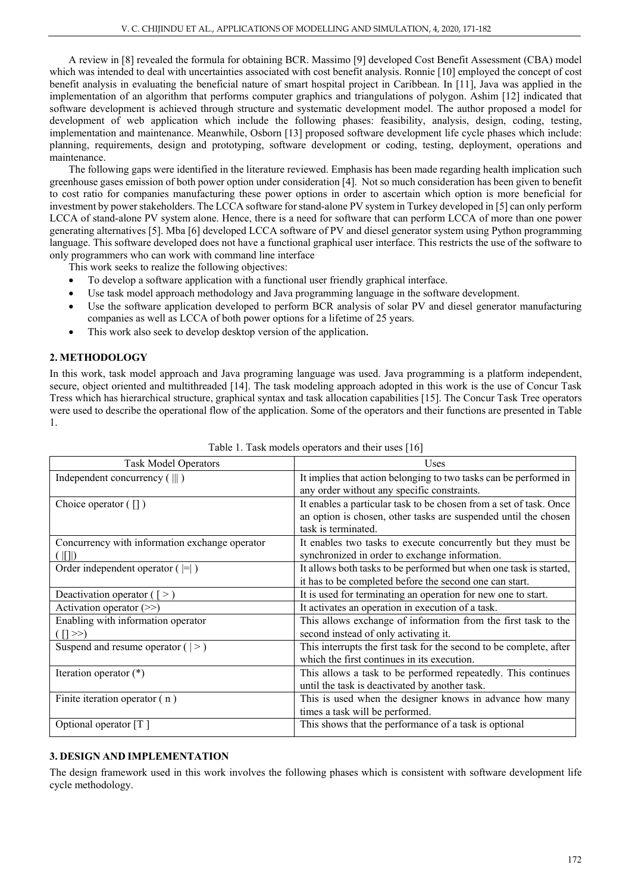A review in [8] revealed the formula for obtaining BCR. Massimo [9] developed Cost Benefit Assessment (CBA) model which was intended to deal with uncertainties associated with cost benefit analysis. Ronnie [10] employed the concept of cost benefit analysis in evaluating the beneficial nature of smart hospital project in Caribbean. In [11], Java was applied in the implementation of an algorithm that performs computer graphics and triangulations of polygon. Ashim [12] indicated that software development is achieved through structure and systematic development model. The author proposed a model for development of web application which include the following phases: feasibility, analysis, design, coding, testing, implementation and maintenance. Meanwhile, Osborn [13] proposed software development life cycle phases which include: planning, requirements, design and prototyping, software development or coding, testing, deployment, operations and maintenance.

The following gaps were identified in the literature reviewed. Emphasis has been made regarding health implication such greenhouse gases emission of both power option under consideration [4]. Not so much consideration has been given to benefit to cost ratio for companies manufacturing these power options in order to ascertain which option is more beneficial for investment by power stakeholders. The LCCA software for stand-alone PV system in Turkey developed in [5] can only perform LCCA of stand-alone PV system alone. Hence, there is a need for software that can perform LCCA of more than one power generating alternatives [5]. Mba [6] developed LCCA software of PV and diesel generator system using Python programming language. This software developed does not have a functional graphical user interface. This restricts the use of the software to only programmers who can work with command line interface

This work seeks to realize the following objectives:

- To develop a software application with a functional user friendly graphical interface.
- Use task model approach methodology and Java programming language in the software development.
- Use the software application developed to perform BCR analysis of solar PV and diesel generator manufacturing companies as well as LCCA of both power options for a lifetime of 25 years.
- This work also seek to develop desktop version of the application.

# **2. METHODOLOGY**

In this work, task model approach and Java programing language was used. Java programming is a platform independent, secure, object oriented and multithreaded [14]. The task modeling approach adopted in this work is the use of Concur Task Tress which has hierarchical structure, graphical syntax and task allocation capabilities [15]. The Concur Task Tree operators were used to describe the operational flow of the application. Some of the operators and their functions are presented in Table 1.

| <b>Task Model Operators</b>                                | Uses                                                                |  |  |  |  |
|------------------------------------------------------------|---------------------------------------------------------------------|--|--|--|--|
| Independent concurrency $(\  \)$                           | It implies that action belonging to two tasks can be performed in   |  |  |  |  |
|                                                            | any order without any specific constraints.                         |  |  |  |  |
| Choice operator $(\lceil \rceil)$                          | It enables a particular task to be chosen from a set of task. Once  |  |  |  |  |
|                                                            | an option is chosen, other tasks are suspended until the chosen     |  |  |  |  |
|                                                            | task is terminated.                                                 |  |  |  |  |
| Concurrency with information exchange operator             | It enables two tasks to execute concurrently but they must be       |  |  |  |  |
| synchronized in order to exchange information.<br>(      ) |                                                                     |  |  |  |  |
| Order independent operator $( = )$                         | It allows both tasks to be performed but when one task is started,  |  |  |  |  |
|                                                            | it has to be completed before the second one can start.             |  |  |  |  |
| Deactivation operator $($ [ > $)$                          | It is used for terminating an operation for new one to start.       |  |  |  |  |
| Activation operator $(\gg)$                                | It activates an operation in execution of a task.                   |  |  |  |  |
| Enabling with information operator                         | This allows exchange of information from the first task to the      |  |  |  |  |
| $($ [] $>>$ )                                              | second instead of only activating it.                               |  |  |  |  |
| Suspend and resume operator $($   > $)$                    | This interrupts the first task for the second to be complete, after |  |  |  |  |
|                                                            | which the first continues in its execution.                         |  |  |  |  |
| Iteration operator $(*)$                                   | This allows a task to be performed repeatedly. This continues       |  |  |  |  |
|                                                            | until the task is deactivated by another task.                      |  |  |  |  |
| Finite iteration operator (n)                              | This is used when the designer knows in advance how many            |  |  |  |  |
|                                                            | times a task will be performed.                                     |  |  |  |  |
| Optional operator [T]                                      | This shows that the performance of a task is optional               |  |  |  |  |
|                                                            |                                                                     |  |  |  |  |

| Table 1. Task models operators and their uses [16] |  |
|----------------------------------------------------|--|
|----------------------------------------------------|--|

# **3. DESIGN AND IMPLEMENTATION**

The design framework used in this work involves the following phases which is consistent with software development life cycle methodology.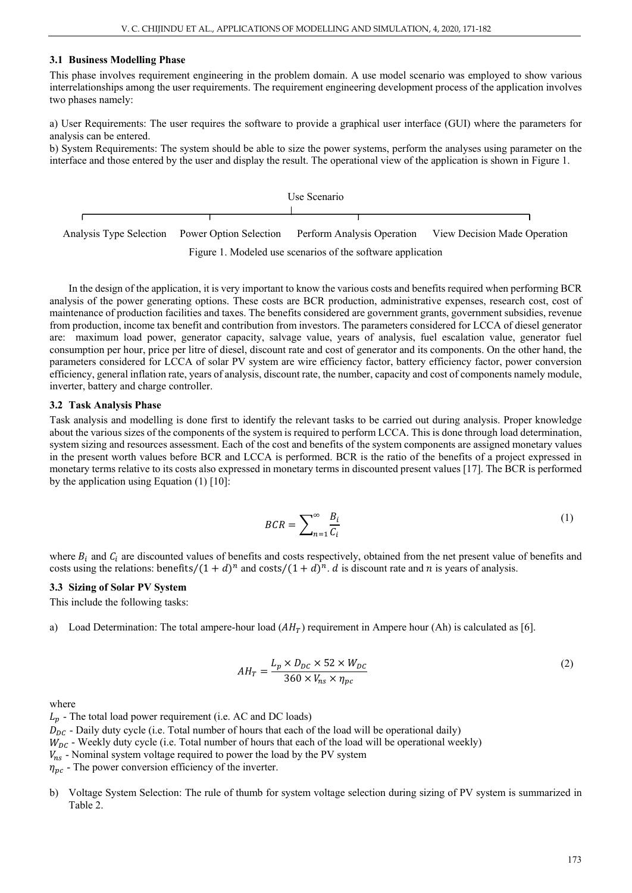#### **3.1 Business Modelling Phase**

This phase involves requirement engineering in the problem domain. A use model scenario was employed to show various interrelationships among the user requirements. The requirement engineering development process of the application involves two phases namely:

a) User Requirements: The user requires the software to provide a graphical user interface (GUI) where the parameters for analysis can be entered.

b) System Requirements: The system should be able to size the power systems, perform the analyses using parameter on the interface and those entered by the user and display the result. The operational view of the application is shown in Figure 1.

Use Scenario Analysis Type Selection Power Option Selection Perform Analysis Operation View Decision Made Operation

Figure 1. Modeled use scenarios of the software application

In the design of the application, it is very important to know the various costs and benefits required when performing BCR analysis of the power generating options. These costs are BCR production, administrative expenses, research cost, cost of maintenance of production facilities and taxes. The benefits considered are government grants, government subsidies, revenue from production, income tax benefit and contribution from investors. The parameters considered for LCCA of diesel generator are: maximum load power, generator capacity, salvage value, years of analysis, fuel escalation value, generator fuel consumption per hour, price per litre of diesel, discount rate and cost of generator and its components. On the other hand, the parameters considered for LCCA of solar PV system are wire efficiency factor, battery efficiency factor, power conversion efficiency, general inflation rate, years of analysis, discount rate, the number, capacity and cost of components namely module, inverter, battery and charge controller.

#### **3.2 Task Analysis Phase**

Task analysis and modelling is done first to identify the relevant tasks to be carried out during analysis. Proper knowledge about the various sizes of the components of the system is required to perform LCCA. This is done through load determination, system sizing and resources assessment. Each of the cost and benefits of the system components are assigned monetary values in the present worth values before BCR and LCCA is performed. BCR is the ratio of the benefits of a project expressed in monetary terms relative to its costs also expressed in monetary terms in discounted present values [17]. The BCR is performed by the application using Equation (1) [10]:

$$
BCR = \sum_{n=1}^{\infty} \frac{B_i}{C_i} \tag{1}
$$

where  $B_i$  and  $C_i$  are discounted values of benefits and costs respectively, obtained from the net present value of benefits and costs using the relations: benefits  $/(1 + d)^n$  and costs  $/(1 + d)^n$ . *d* is discount rate and *n* is years of analysis.

#### **3.3 Sizing of Solar PV System**

This include the following tasks:

a) Load Determination: The total ampere-hour load  $(AH_T)$  requirement in Ampere hour (Ah) is calculated as [6].

$$
AH_T = \frac{L_p \times D_{DC} \times 52 \times W_{DC}}{360 \times V_{ns} \times \eta_{pc}}
$$
\n<sup>(2)</sup>

where

 $L_n$  - The total load power requirement (i.e. AC and DC loads)  $D_{DC}$  - Daily duty cycle (i.e. Total number of hours that each of the load will be operational daily)  $W_{DC}$  - Weekly duty cycle (i.e. Total number of hours that each of the load will be operational weekly)  $V_{ns}$  - Nominal system voltage required to power the load by the PV system  $\eta_{\nu c}$  - The power conversion efficiency of the inverter.

b) Voltage System Selection: The rule of thumb for system voltage selection during sizing of PV system is summarized in Table 2.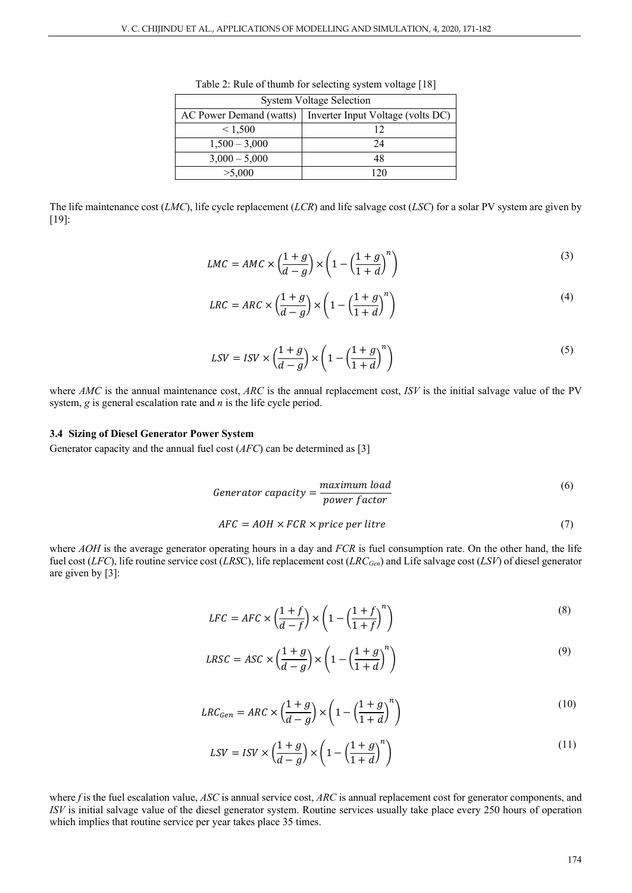| <b>System Voltage Selection</b>                                |    |  |  |  |
|----------------------------------------------------------------|----|--|--|--|
| AC Power Demand (watts)  <br>Inverter Input Voltage (volts DC) |    |  |  |  |
| < 1,500                                                        | 12 |  |  |  |
| $1,500 - 3,000$                                                | 24 |  |  |  |
| $3,000 - 5,000$                                                | 48 |  |  |  |
| >5,000                                                         |    |  |  |  |

Table 2: Rule of thumb for selecting system voltage [18]

The life maintenance cost (*LMC*), life cycle replacement (*LCR*) and life salvage cost (*LSC*) for a solar PV system are given by [19]:

$$
LMC = AMC \times \left(\frac{1+g}{d-g}\right) \times \left(1 - \left(\frac{1+g}{1+d}\right)^n\right)
$$
\n(3)

$$
LRC = ARC \times \left(\frac{1+g}{d-g}\right) \times \left(1 - \left(\frac{1+g}{1+d}\right)^n\right)
$$
\n(4)

$$
LSV = ISV \times \left(\frac{1+g}{d-g}\right) \times \left(1 - \left(\frac{1+g}{1+d}\right)^n\right) \tag{5}
$$

where *AMC* is the annual maintenance cost, *ARC* is the annual replacement cost, *ISV* is the initial salvage value of the PV system, *g* is general escalation rate and *n* is the life cycle period.

#### **3.4 Sizing of Diesel Generator Power System**

Generator capacity and the annual fuel cost (*AFC*) can be determined as [3]

$$
Generator\ capacity = \frac{maximum\ load}{power\ factor}
$$
\n(6)

$$
AFC = AOH \times FCR \times price \, per \, litre \tag{7}
$$

where *AOH* is the average generator operating hours in a day and *FCR* is fuel consumption rate. On the other hand, the life fuel cost (*LFC*), life routine service cost (*LRS*C), life replacement cost (*LRCGen*) and Life salvage cost (*LSV*) of diesel generator are given by [3]:

$$
LFC = AFC \times \left(\frac{1+f}{d-f}\right) \times \left(1 - \left(\frac{1+f}{1+f}\right)^n\right)
$$
\n(8)

$$
LRSC = ASC \times \left(\frac{1+g}{d-g}\right) \times \left(1 - \left(\frac{1+g}{1+d}\right)^n\right)
$$
\n(9)

$$
LRC_{Gen} = ARC \times \left(\frac{1+g}{d-g}\right) \times \left(1 - \left(\frac{1+g}{1+d}\right)^n\right)
$$
\n(10)

$$
LSV = ISV \times \left(\frac{1+g}{d-g}\right) \times \left(1 - \left(\frac{1+g}{1+d}\right)^n\right)
$$
\n(11)

where *f* is the fuel escalation value, *ASC* is annual service cost, *ARC* is annual replacement cost for generator components, and *ISV* is initial salvage value of the diesel generator system. Routine services usually take place every 250 hours of operation which implies that routine service per year takes place 35 times.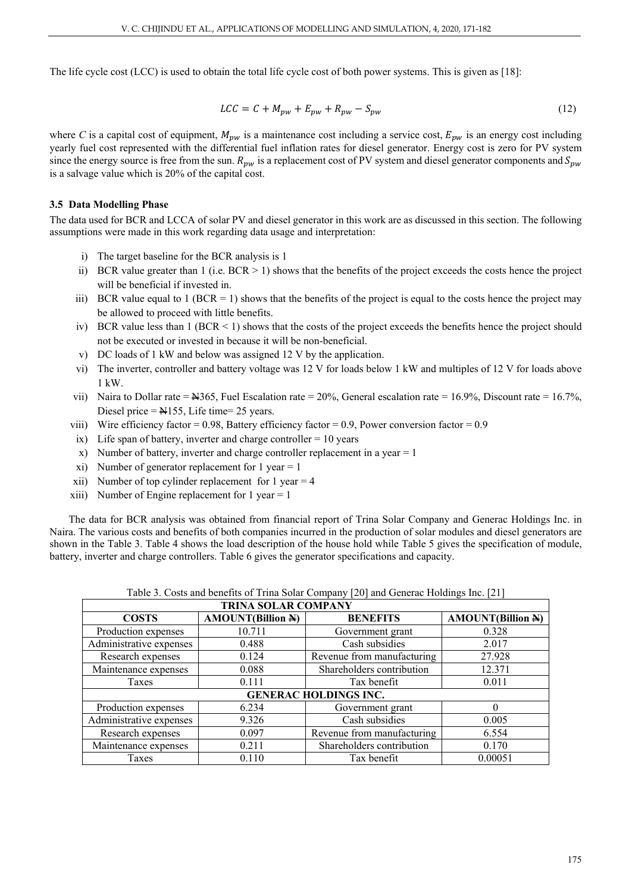The life cycle cost (LCC) is used to obtain the total life cycle cost of both power systems. This is given as [18]:

$$
LCC = C + M_{pw} + E_{pw} + R_{pw} - S_{pw}
$$
\n
$$
(12)
$$

where *C* is a capital cost of equipment,  $M_{pw}$  is a maintenance cost including a service cost,  $E_{pw}$  is an energy cost including yearly fuel cost represented with the differential fuel inflation rates for diesel generator. Energy cost is zero for PV system since the energy source is free from the sun.  $R_{pw}$  is a replacement cost of PV system and diesel generator components and  $S_{pw}$ is a salvage value which is 20% of the capital cost.

### **3.5 Data Modelling Phase**

The data used for BCR and LCCA of solar PV and diesel generator in this work are as discussed in this section. The following assumptions were made in this work regarding data usage and interpretation:

- i) The target baseline for the BCR analysis is 1
- ii) BCR value greater than  $1$  (i.e.  $BCR > 1$ ) shows that the benefits of the project exceeds the costs hence the project will be beneficial if invested in.
- iii) BCR value equal to 1 (BCR = 1) shows that the benefits of the project is equal to the costs hence the project may be allowed to proceed with little benefits.
- iv) BCR value less than 1 (BCR < 1) shows that the costs of the project exceeds the benefits hence the project should not be executed or invested in because it will be non-beneficial.
- v) DC loads of 1 kW and below was assigned 12 V by the application.
- vi) The inverter, controller and battery voltage was 12 V for loads below 1 kW and multiples of 12 V for loads above 1 kW.
- vii) Naira to Dollar rate =  $\text{\textsterling}365$ , Fuel Escalation rate = 20%, General escalation rate = 16.9%, Discount rate = 16.7%, Diesel price  $=$   $\text{Al}$  155, Life time = 25 years.
- viii) Wire efficiency factor =  $0.98$ , Battery efficiency factor =  $0.9$ , Power conversion factor =  $0.9$
- ix) Life span of battery, inverter and charge controller  $= 10$  years
- x) Number of battery, inverter and charge controller replacement in a year = 1
- xi) Number of generator replacement for 1 year  $= 1$
- xii) Number of top cylinder replacement for  $1$  year = 4
- xiii) Number of Engine replacement for  $1$  year =  $1$

The data for BCR analysis was obtained from financial report of Trina Solar Company and Generac Holdings Inc. in Naira. The various costs and benefits of both companies incurred in the production of solar modules and diesel generators are shown in the Table 3. Table 4 shows the load description of the house hold while Table 5 gives the specification of module, battery, inverter and charge controllers. Table 6 gives the generator specifications and capacity.

|  | Table 3. Costs and benefits of Trina Solar Company [20] and Generac Holdings Inc. [21] |  |  |  |  |  |
|--|----------------------------------------------------------------------------------------|--|--|--|--|--|
|  |                                                                                        |  |  |  |  |  |

| <b>TRINA SOLAR COMPANY</b>   |                          |                            |                          |  |  |
|------------------------------|--------------------------|----------------------------|--------------------------|--|--|
| <b>COSTS</b>                 | <b>AMOUNT(Billion N)</b> | <b>BENEFITS</b>            | <b>AMOUNT(Billion N)</b> |  |  |
| Production expenses          | 10.711                   | Government grant           | 0.328                    |  |  |
| Administrative expenses      | 0.488                    | Cash subsidies             | 2.017                    |  |  |
| Research expenses            | 0.124                    | Revenue from manufacturing | 27.928                   |  |  |
| Maintenance expenses         | 0.088                    | Shareholders contribution  | 12.371                   |  |  |
| Taxes                        | 0.111                    | Tax benefit                | 0.011                    |  |  |
| <b>GENERAC HOLDINGS INC.</b> |                          |                            |                          |  |  |
| Production expenses          | 6.234                    | Government grant           | 0                        |  |  |
| Administrative expenses      | 9.326                    | Cash subsidies             | 0.005                    |  |  |
| Research expenses            | 0.097                    | Revenue from manufacturing | 6.554                    |  |  |
| Maintenance expenses         | 0.211                    | Shareholders contribution  | 0.170                    |  |  |
| Taxes                        | 0.110                    | Tax benefit                | 0.00051                  |  |  |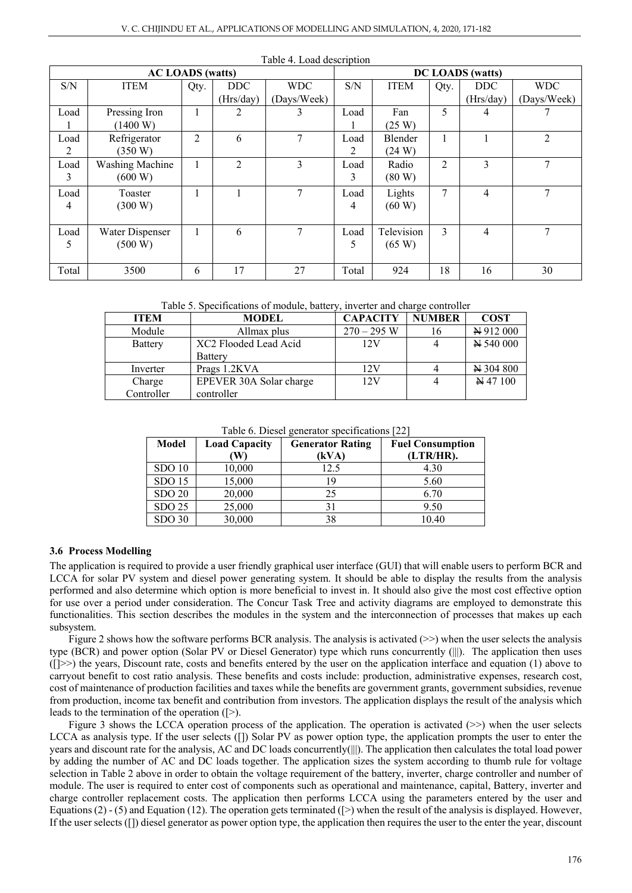|       | <b>AC LOADS</b> (watts) |      |            |             |       |             |      | <b>DC LOADS</b> (watts) |                |
|-------|-------------------------|------|------------|-------------|-------|-------------|------|-------------------------|----------------|
| S/N   | <b>ITEM</b>             | Qty. | <b>DDC</b> | <b>WDC</b>  | S/N   | <b>ITEM</b> | Qty. | DDC                     | <b>WDC</b>     |
|       |                         |      | (Hrs/day)  | (Days/Week) |       |             |      | (Hrs/day)               | (Days/Week)    |
| Load  | Pressing Iron           |      | 2          | 3           | Load  | Fan         | 5    | 4                       |                |
|       | (1400 W)                |      |            |             |       | (25 W)      |      |                         |                |
| Load  | Refrigerator            | 2    | 6          | 7           | Load  | Blender     |      |                         | $\overline{2}$ |
| 2     | (350 W)                 |      |            |             | 2     | (24 W)      |      |                         |                |
| Load  | Washing Machine         |      | 2          | 3           | Load  | Radio       | 2    | 3                       | 7              |
| 3     | (600 W)                 |      |            |             | 3     | (80 W)      |      |                         |                |
| Load  | Toaster                 |      |            | 7           | Load  | Lights      | 7    | $\overline{4}$          | 7              |
| 4     | (300 W)                 |      |            |             | 4     | (60 W)      |      |                         |                |
|       |                         |      |            |             |       |             |      |                         |                |
| Load  | Water Dispenser         |      | 6          | 7           | Load  | Television  | 3    | 4                       | $\tau$         |
| 5     | (500 W)                 |      |            |             | 5     | (65 W)      |      |                         |                |
|       |                         |      |            |             |       |             |      |                         |                |
| Total | 3500                    | 6    | 17         | 27          | Total | 924         | 18   | 16                      | 30             |

| Table 4. Load description |
|---------------------------|
|---------------------------|

Table 5. Specifications of module, battery, inverter and charge controller

| <b>ITEM</b>    | <b>MODEL</b>            | <b>CAPACITY</b> | <b>NUMBER</b> | <b>COST</b>         |
|----------------|-------------------------|-----------------|---------------|---------------------|
| Module         | Allmax plus             | $270 - 295$ W   | 16            | N 912 000           |
| <b>Battery</b> | XC2 Flooded Lead Acid   | 12V             |               | $N$ 540 000         |
|                | Battery                 |                 |               |                     |
| Inverter       | Prags 1.2KVA            | 12V             |               | N 304 800           |
| Charge         | EPEVER 30A Solar charge | 12V             |               | $\cancel{N}$ 47 100 |
| Controller     | controller              |                 |               |                     |

Table 6. Diesel generator specifications [22]

| Model             | <b>Load Capacity</b><br>W | <b>Generator Rating</b><br>(kVA) | <b>Fuel Consumption</b><br>(LTR/HR). |
|-------------------|---------------------------|----------------------------------|--------------------------------------|
| SDO <sub>10</sub> | 10,000                    | 12.5                             | 4.30                                 |
| SDO <sub>15</sub> | 15,000                    | 19                               | 5.60                                 |
| <b>SDO 20</b>     | 20,000                    | 25                               | 6.70                                 |
| SDO 25            | 25,000                    | 31                               | 9.50                                 |
| SDO <sub>30</sub> | 30,000                    | 38                               | 10.40                                |

#### **3.6 Process Modelling**

The application is required to provide a user friendly graphical user interface (GUI) that will enable users to perform BCR and LCCA for solar PV system and diesel power generating system. It should be able to display the results from the analysis performed and also determine which option is more beneficial to invest in. It should also give the most cost effective option for use over a period under consideration. The Concur Task Tree and activity diagrams are employed to demonstrate this functionalities. This section describes the modules in the system and the interconnection of processes that makes up each subsystem.

Figure 2 shows how the software performs BCR analysis. The analysis is activated  $(\ge)$  when the user selects the analysis type (BCR) and power option (Solar PV or Diesel Generator) type which runs concurrently (|||). The application then uses ([]>>) the years, Discount rate, costs and benefits entered by the user on the application interface and equation (1) above to carryout benefit to cost ratio analysis. These benefits and costs include: production, administrative expenses, research cost, cost of maintenance of production facilities and taxes while the benefits are government grants, government subsidies, revenue from production, income tax benefit and contribution from investors. The application displays the result of the analysis which leads to the termination of the operation ([>).

Figure 3 shows the LCCA operation process of the application. The operation is activated (>>) when the user selects LCCA as analysis type. If the user selects ([]) Solar PV as power option type, the application prompts the user to enter the years and discount rate for the analysis, AC and DC loads concurrently(|||). The application then calculates the total load power by adding the number of AC and DC loads together. The application sizes the system according to thumb rule for voltage selection in Table 2 above in order to obtain the voltage requirement of the battery, inverter, charge controller and number of module. The user is required to enter cost of components such as operational and maintenance, capital, Battery, inverter and charge controller replacement costs. The application then performs LCCA using the parameters entered by the user and Equations (2) - (5) and Equation (12). The operation gets terminated ([>) when the result of the analysis is displayed. However, If the user selects ([]) diesel generator as power option type, the application then requires the user to the enter the year, discount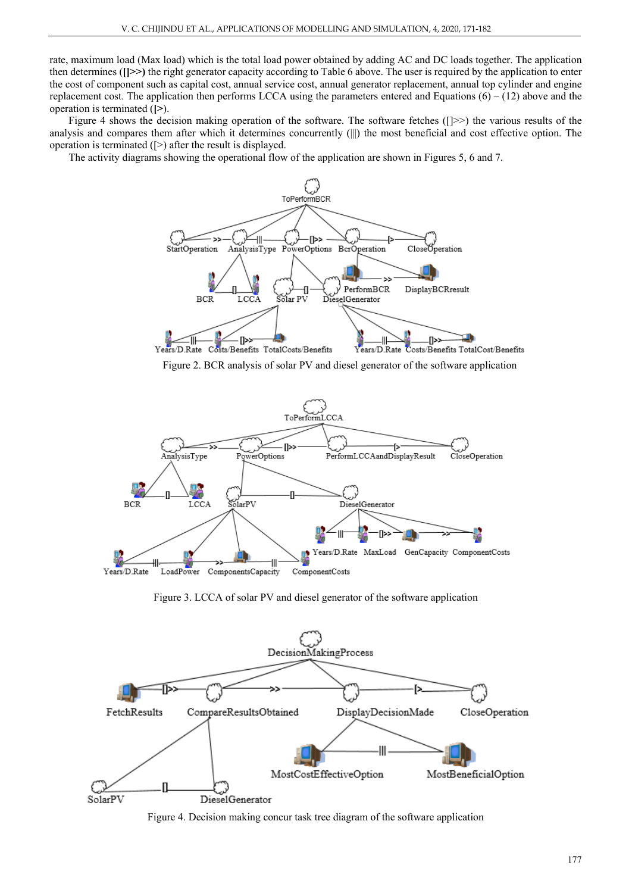rate, maximum load (Max load) which is the total load power obtained by adding AC and DC loads together. The application then determines (**[]>>)** the right generator capacity according to Table 6 above. The user is required by the application to enter the cost of component such as capital cost, annual service cost, annual generator replacement, annual top cylinder and engine replacement cost. The application then performs LCCA using the parameters entered and Equations  $(6) - (12)$  above and the operation is terminated (**[>**).

Figure 4 shows the decision making operation of the software. The software fetches ([]>>) the various results of the analysis and compares them after which it determines concurrently (|||) the most beneficial and cost effective option. The operation is terminated ([>) after the result is displayed.

The activity diagrams showing the operational flow of the application are shown in Figures 5, 6 and 7.



Figure 2. BCR analysis of solar PV and diesel generator of the software application



Figure 3. LCCA of solar PV and diesel generator of the software application



Figure 4. Decision making concur task tree diagram of the software application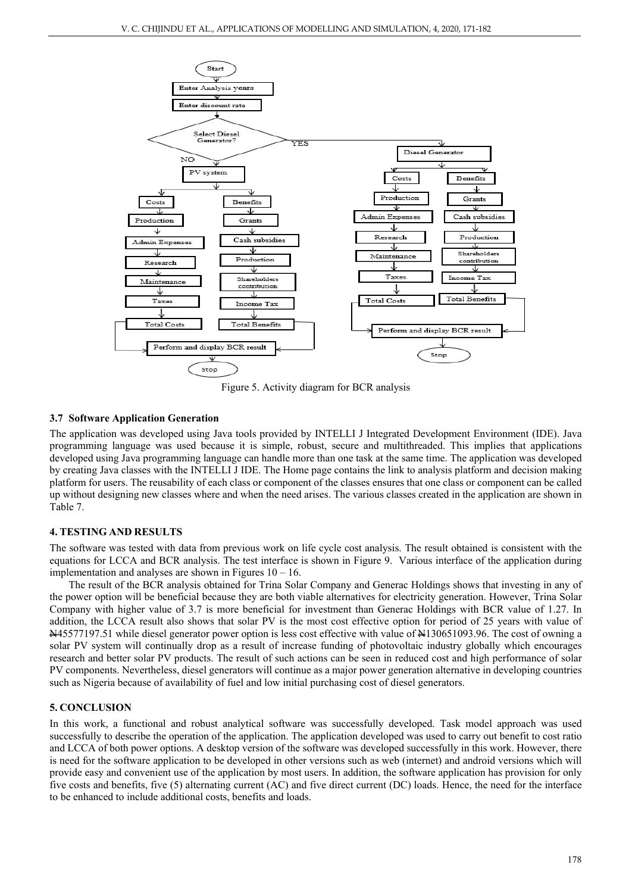

Figure 5. Activity diagram for BCR analysis

# **3.7 Software Application Generation**

The application was developed using Java tools provided by INTELLI J Integrated Development Environment (IDE). Java programming language was used because it is simple, robust, secure and multithreaded. This implies that applications developed using Java programming language can handle more than one task at the same time. The application was developed by creating Java classes with the INTELLI J IDE. The Home page contains the link to analysis platform and decision making platform for users. The reusability of each class or component of the classes ensures that one class or component can be called up without designing new classes where and when the need arises. The various classes created in the application are shown in Table 7.

# **4. TESTING AND RESULTS**

The software was tested with data from previous work on life cycle cost analysis. The result obtained is consistent with the equations for LCCA and BCR analysis. The test interface is shown in Figure 9. Various interface of the application during implementation and analyses are shown in Figures  $10 - 16$ .

The result of the BCR analysis obtained for Trina Solar Company and Generac Holdings shows that investing in any of the power option will be beneficial because they are both viable alternatives for electricity generation. However, Trina Solar Company with higher value of 3.7 is more beneficial for investment than Generac Holdings with BCR value of 1.27. In addition, the LCCA result also shows that solar PV is the most cost effective option for period of 25 years with value of N45577197.51 while diesel generator power option is less cost effective with value of N130651093.96. The cost of owning a solar PV system will continually drop as a result of increase funding of photovoltaic industry globally which encourages research and better solar PV products. The result of such actions can be seen in reduced cost and high performance of solar PV components. Nevertheless, diesel generators will continue as a major power generation alternative in developing countries such as Nigeria because of availability of fuel and low initial purchasing cost of diesel generators.

# **5. CONCLUSION**

In this work, a functional and robust analytical software was successfully developed. Task model approach was used successfully to describe the operation of the application. The application developed was used to carry out benefit to cost ratio and LCCA of both power options. A desktop version of the software was developed successfully in this work. However, there is need for the software application to be developed in other versions such as web (internet) and android versions which will provide easy and convenient use of the application by most users. In addition, the software application has provision for only five costs and benefits, five (5) alternating current (AC) and five direct current (DC) loads. Hence, the need for the interface to be enhanced to include additional costs, benefits and loads.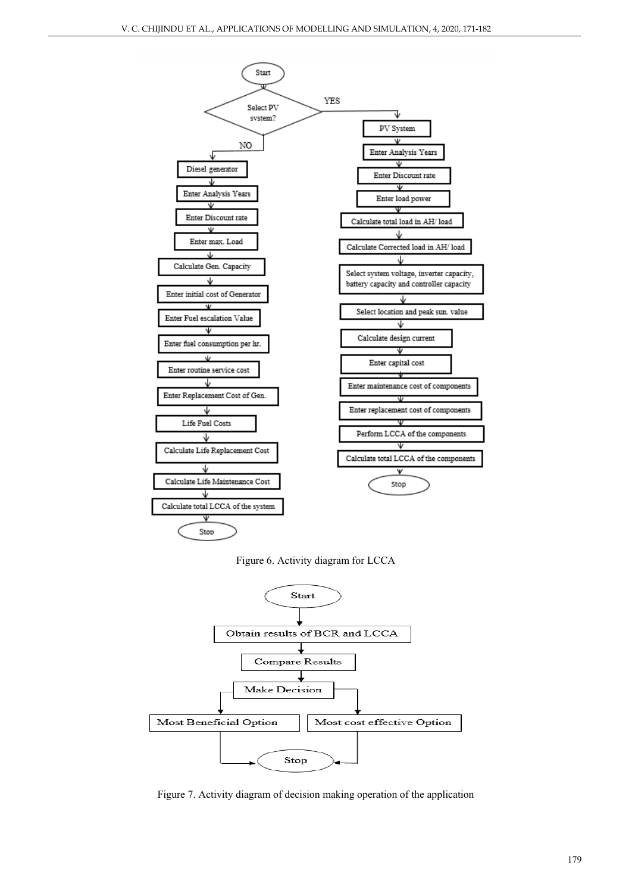





Figure 7. Activity diagram of decision making operation of the application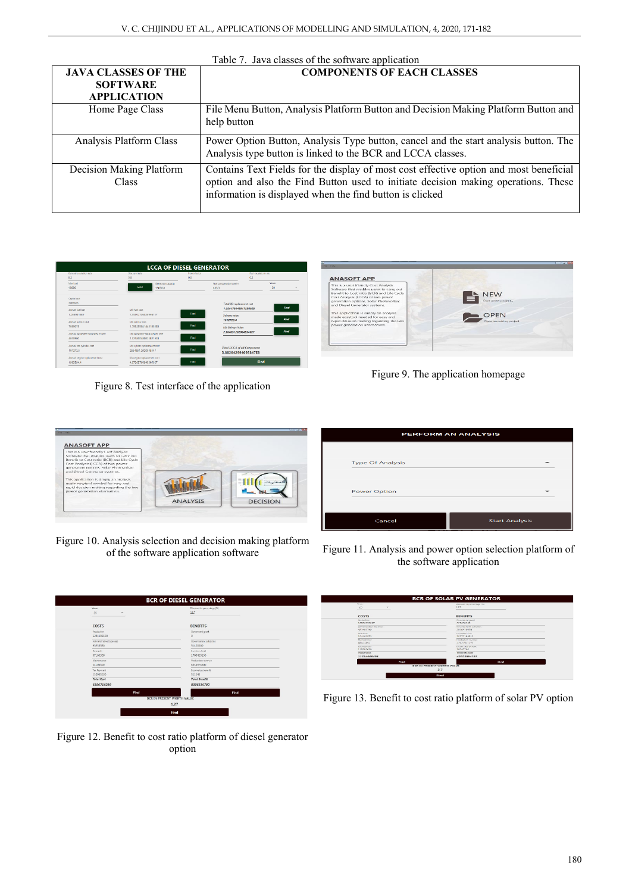| <b>JAVA CLASSES OF THE</b><br><b>SOFTWARE</b><br><b>APPLICATION</b> | <b>COMPONENTS OF EACH CLASSES</b>                                                                                                                                                                                                        |
|---------------------------------------------------------------------|------------------------------------------------------------------------------------------------------------------------------------------------------------------------------------------------------------------------------------------|
| Home Page Class                                                     | File Menu Button, Analysis Platform Button and Decision Making Platform Button and<br>help button                                                                                                                                        |
| Analysis Platform Class                                             | Power Option Button, Analysis Type button, cancel and the start analysis button. The<br>Analysis type button is linked to the BCR and LCCA classes.                                                                                      |
| Decision Making Platform<br>Class                                   | Contains Text Fields for the display of most cost effective option and most beneficial<br>option and also the Find Button used to initiate decision making operations. These<br>information is displayed when the find button is clicked |

| General outaliation rate                                   | Discount rate                                                  | <b>Power factor</b> |                                                            | Fuel escalation rate |
|------------------------------------------------------------|----------------------------------------------------------------|---------------------|------------------------------------------------------------|----------------------|
| 0.2                                                        | 9.8                                                            | 0.8                 | 0.2                                                        |                      |
| May front<br>15880                                         | Generator capacity<br>Eind<br>19850.0                          |                     | Fuel consumption per hr<br>603.3                           | <b>Years</b><br>30   |
| Contral cost<br>5063625                                    |                                                                |                     | <b>Total life replacement cost</b><br>10201780459172568FR  | Find                 |
| Annual fuel lost<br>1.056981689<br>American considers must | Life fuel cost<br>7.595077365269461E7<br>Title sensitive costs | Find                | Salvage value<br>1012725.0                                 | <b>Find</b>          |
| 7089075                                                    | 1.7952558414451885E8                                           | Find                | <b>Life Salvage Volum</b><br>2.5646512020645548F7          | Find                 |
| Annual generator replacement cost<br>4050900               | Life generator replacement cost<br>1.0258604808258219E8        | Find                |                                                            |                      |
| Annual too cylinder cost<br>101272.5                       | Life cylider reglacement cost<br>2564651.2020645547            | Fired               | <b>Total LCCA of all Components</b><br>3.882042994095847E8 |                      |
| Annual engine replacement cost<br>1963594.4                | life engine replacement cost<br>4.972657669483056E7            | find                |                                                            | Find                 |

Figure 8. Test interface of the application



Figure 9. The application homepage

| <b>ANASOFT APP</b>                                                                                                                                                                                                                              |                 |                                |
|-------------------------------------------------------------------------------------------------------------------------------------------------------------------------------------------------------------------------------------------------|-----------------|--------------------------------|
| This is a user friendly Cost Analysis<br>Software that enables users to carry out<br>Benefit to Cost ratio (BCR) and Life Cycle<br>Cost Analysis (LCCA) of two power<br>generation options. Solar Photovoltaic<br>and Diesel Generator systems. |                 |                                |
| This application is simply an analysis<br>made easytool needed for easy and<br>rapid decision making regarding the two<br>power generation alternatives.                                                                                        |                 | al <sub>son</sub> itionit<br>- |
|                                                                                                                                                                                                                                                 | <b>ANALYSIS</b> | <b>DECISION</b>                |

Figure 10. Analysis selection and decision making platform

| Years:                              | Discount in percentage (%)        |
|-------------------------------------|-----------------------------------|
| $\overline{25}$<br>٠                | 16.7                              |
| <b>COSTS</b>                        | <b>BENEFITS</b>                   |
| Production                          | Governomt grant                   |
| 6234198500                          | $\circ$                           |
| Administrative Expenses<br>93256550 | Covernement subsidies<br>51420000 |
|                                     |                                   |
| Revearch<br>97165300                | Investors fund<br>1700429150      |
| Maintenance                         |                                   |
| 21108300                            | Production revenue<br>6553976500  |
| Tax Payment                         | Income tax benefit                |
| 110985630                           | 511140                            |
| <b>Total Cost</b>                   | <b>Total Benefit</b>              |
| 6556714280                          | 8306336790                        |
| Find                                | Find                              |
|                                     | <b>BCR IN PRESENT WORTH VALUE</b> |

Figure 12. Benefit to cost ratio platform of diesel generator option

| <b>PERFORM AN ANALYSIS</b> |                       |  |  |  |  |  |  |
|----------------------------|-----------------------|--|--|--|--|--|--|
|                            |                       |  |  |  |  |  |  |
| <b>Type Of Analysis</b>    |                       |  |  |  |  |  |  |
|                            |                       |  |  |  |  |  |  |
| <b>Power Option</b>        |                       |  |  |  |  |  |  |
|                            |                       |  |  |  |  |  |  |
| Cancel                     | <b>Start Analysis</b> |  |  |  |  |  |  |

of the software application software Figure 11. Analysis and power option selection platform of the software application

| Year,<br>28<br>$\sim$             | Discount in percentage (%)<br>107 |
|-----------------------------------|-----------------------------------|
| COSTS                             | <b>BENEFITS</b>                   |
| Penchartures.                     | Doverneed growt                   |
| 10706295887                       | 2209127510                        |
| Activos rate ateus for parents in | <b>CONTINUINTAL SUBTIMIES</b>     |
| 481401740                         | 2010470970                        |
| Kescarek                          | Incrytery hired                   |
| 124461379                         | 12371185319                       |
| Marshinanco                       | Pendudun rowers                   |
| 88923823                          | 27027031275                       |
| <b>East Payment</b>               | Income factoriest                 |
| 120905630                         | 10747700                          |
| <b>Total Cost</b>                 | <b>Total Renefit</b>              |
| 11514068491                       | 42653994235                       |
| <b>Find</b>                       | tind                              |
|                                   | <b>BCR IN PRESENT WORTH VALUE</b> |

Figure 13. Benefit to cost ratio platform of solar PV option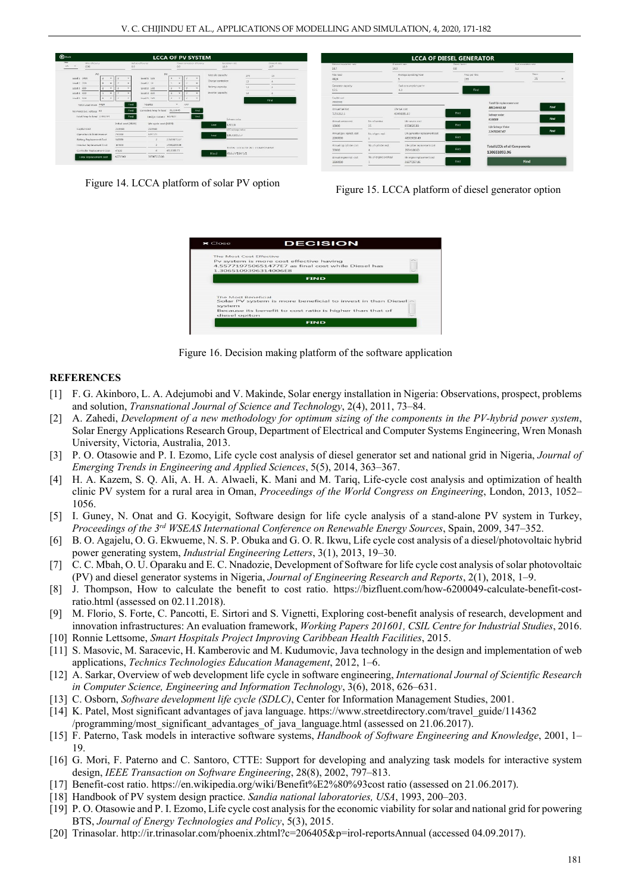| $\bigoplus$ Back<br><b>LCCA OF PV SYSTEM</b>                                                         |                                      |                                                                |                                                                                         |                                                                    |                                                                  |                      |                                                          | <b>LCCA OF DIESEL GENERATOR</b> |                                                         |                                |                                                             |               |  |
|------------------------------------------------------------------------------------------------------|--------------------------------------|----------------------------------------------------------------|-----------------------------------------------------------------------------------------|--------------------------------------------------------------------|------------------------------------------------------------------|----------------------|----------------------------------------------------------|---------------------------------|---------------------------------------------------------|--------------------------------|-------------------------------------------------------------|---------------|--|
| Year.<br>Wrig phicipricy<br>28.7<br><b>OAR</b>                                                       | 0.9                                  | <b>INTOY CROSSOV</b>                                           | Pawer commission attraction<br>0.9                                                      | 10.9                                                               | <b>Bicolonice:</b> ratio                                         | OGGUNE (ate-<br>16.7 | General escalation rate<br>16.7                          |                                 | Discount rate<br>16.9                                   | Power factor<br>0.8            | Fuel escalation rate<br>0.2                                 |               |  |
| $\lambda$<br>Load 1, 1400<br>Load 2, 200<br>$N = -1$<br>Load 3 000                                   | $\rightarrow$<br>$\rightarrow$       | DC.<br>Load 1 125<br>$1 \text{ rad } 2 \cdot 24$<br>Load 3 100 | $4 -$<br>۰                                                                              | Module capacity:<br>Charge controller:<br><b>Battery capacity:</b> | 270<br><b>STATE</b><br>12<br>$\overline{\phantom{a}}$<br>12<br>- | 16                   | ___<br>Max load<br>4424<br>Generator capacity<br>125     |                                 | Average operating hour<br>Fuel consumption per hr<br>43 | Price por litre<br>155<br>Find | <b>Yaars</b><br>25                                          | $\rightarrow$ |  |
| Load 4 300<br>$1 - 4$<br>tood x 500<br>$N = N$<br>Total Load in low 4424<br>Norminal sys. voltage 48 | <b>Bod</b>                           | Load 4 420<br>Load 5 195<br>Nsuidia<br>Corrected Amp hr Ised   | Witness Street<br>$-4$<br>$\sim$<br>W.C.<br>$-4,92$<br>$\mathbf{v}$<br>find<br>31114.45 | inverter capacity:                                                 | 12                                                               | Find                 | Capital cost<br>2550000<br>Annual fuel lost<br>1216362.5 |                                 | Life fuel cost<br>43498885.82                           | Find                           | Total life replacement cost<br>88514448.98<br>Solvoge volue | <b>Find</b>   |  |
| Total Arres by loved 27442.94<br>Capital Cost                                                        | Red<br>Initial cost (NGN)<br>2145540 | Uselian Current 8/124.07<br>Life cycle cost (NGN)<br>2145540   | <b>Tind</b>                                                                             | Find                                                               | Sulvege value<br>429108                                          |                      | Armad service cost<br>10000                              | No. of service<br>35            | life service cost<br>8558026.83                         | Find                           | 510000<br>Life Salvage Velow                                | <b>Find</b>   |  |
| Operation & Maintenance<br>Battery Replacement Cost                                                  | 290000<br>senco                      | ATRICIAN                                                       | 27609871.67                                                                             | Find                                                               | LCC salvage value<br>109/0015.57                                 |                      | Annual gen. replact. cost<br>2000000                     | fig. of gen. real.              | Life generator replacement cost<br>48903010.49          | Find                           | 12470267.67                                                 | <b>Find</b>   |  |
| Inverter Replacement Cost<br>Controller Replacement Cost                                             | 30-1500<br>47100                     |                                                                | 15584238.68<br>4816388.73                                                               | <b>Firsd</b>                                                       | TOTAL LCCA OF ALL COMPONENT.<br>455//19/51                       |                      | Annual top cylinder cost<br>30000                        | No. of cylinder repl.           | Ufe cylider replacement cost<br>2934180.63              | Find                           | <b>Total LCCA of all Components</b><br>130651093.96         |               |  |
| <b>Lotal Replacement cost</b>                                                                        | 4273540                              | 56547213.08                                                    |                                                                                         |                                                                    |                                                                  |                      | Annual engine repl. cost<br>1500000                      | No. of engine overhaul          | He engine replacement cost<br>36677257.86               | Find                           | Find                                                        |               |  |

Figure 14. LCCA platform of solar PV option Figure 15. LCCA platform of diesel generator option



Figure 16. Decision making platform of the software application

#### **REFERENCES**

- [1] F. G. Akinboro, L. A. Adejumobi and V. Makinde, Solar energy installation in Nigeria: Observations, prospect, problems and solution, *Transnational Journal of Science and Technology*, 2(4), 2011, 73–84.
- [2] A. Zahedi, *Development of a new methodology for optimum sizing of the components in the PV-hybrid power system*, Solar Energy Applications Research Group, Department of Electrical and Computer Systems Engineering, Wren Monash University, Victoria, Australia, 2013.
- [3] P. O. Otasowie and P. I. Ezomo, Life cycle cost analysis of diesel generator set and national grid in Nigeria, *Journal of Emerging Trends in Engineering and Applied Sciences*, 5(5), 2014, 363–367.
- [4] H. A. Kazem, S. Q. Ali, A. H. A. Alwaeli, K. Mani and M. Tariq, Life-cycle cost analysis and optimization of health clinic PV system for a rural area in Oman, *Proceedings of the World Congress on Engineering*, London, 2013, 1052– 1056.
- [5] I. Guney, N. Onat and G. Kocyigit, Software design for life cycle analysis of a stand-alone PV system in Turkey, *Proceedings of the 3rd WSEAS International Conference on Renewable Energy Sources*, Spain, 2009, 347–352.
- [6] B. O. Agajelu, O. G. Ekwueme, N. S. P. Obuka and G. O. R. Ikwu, Life cycle cost analysis of a diesel/photovoltaic hybrid power generating system, *Industrial Engineering Letters*, 3(1), 2013, 19–30.
- [7] C. C. Mbah, O. U. Oparaku and E. C. Nnadozie, Development of Software for life cycle cost analysis of solar photovoltaic (PV) and diesel generator systems in Nigeria, *Journal of Engineering Research and Reports*, 2(1), 2018, 1–9.
- [8] J. Thompson, How to calculate the benefit to cost ratio. https://bizfluent.com/how-6200049-calculate-benefit-costratio.html (assessed on 02.11.2018).
- [9] M. Florio, S. Forte, C. Pancotti, E. Sirtori and S. Vignetti, Exploring cost-benefit analysis of research, development and innovation infrastructures: An evaluation framework, *Working Papers 201601, CSIL Centre for Industrial Studies*, 2016.
- [10] Ronnie Lettsome, *Smart Hospitals Project Improving Caribbean Health Facilities*, 2015.
- [11] S. Masovic, M. Saracevic, H. Kamberovic and M. Kudumovic, Java technology in the design and implementation of web applications, *Technics Technologies Education Management*, 2012, 1–6.
- [12] A. Sarkar, Overview of web development life cycle in software engineering, *International Journal of Scientific Research in Computer Science, Engineering and Information Technology*, 3(6), 2018, 626–631.
- [13] C. Osborn, *Software development life cycle (SDLC)*, Center for Information Management Studies, 2001.
- [14] K. Patel, Most significant advantages of java language. https://www.streetdirectory.com/travel\_guide/114362
- /programming/most\_significant\_advantages\_of\_java\_language.html (assessed on 21.06.2017).
- [15] F. Paterno, Task models in interactive software systems, *Handbook of Software Engineering and Knowledge*, 2001, 1– 19.
- [16] G. Mori, F. Paterno and C. Santoro, CTTE: Support for developing and analyzing task models for interactive system design, *IEEE Transaction on Software Engineering*, 28(8), 2002, 797–813.
- [17] Benefit-cost ratio. https://en.wikipedia.org/wiki/Benefit%E2%80%93cost ratio (assessed on 21.06.2017).
- [18] Handbook of PV system design practice. *Sandia national laboratories, USA*, 1993, 200–203.
- [19] P. O. Otasowie and P. I. Ezomo, Life cycle cost analysis for the economic viability for solar and national grid for powering BTS, *Journal of Energy Technologies and Policy*, 5(3), 2015.
- [20] Trinasolar. http://ir.trinasolar.com/phoenix.zhtml?c=206405&p=irol-reportsAnnual (accessed 04.09.2017).